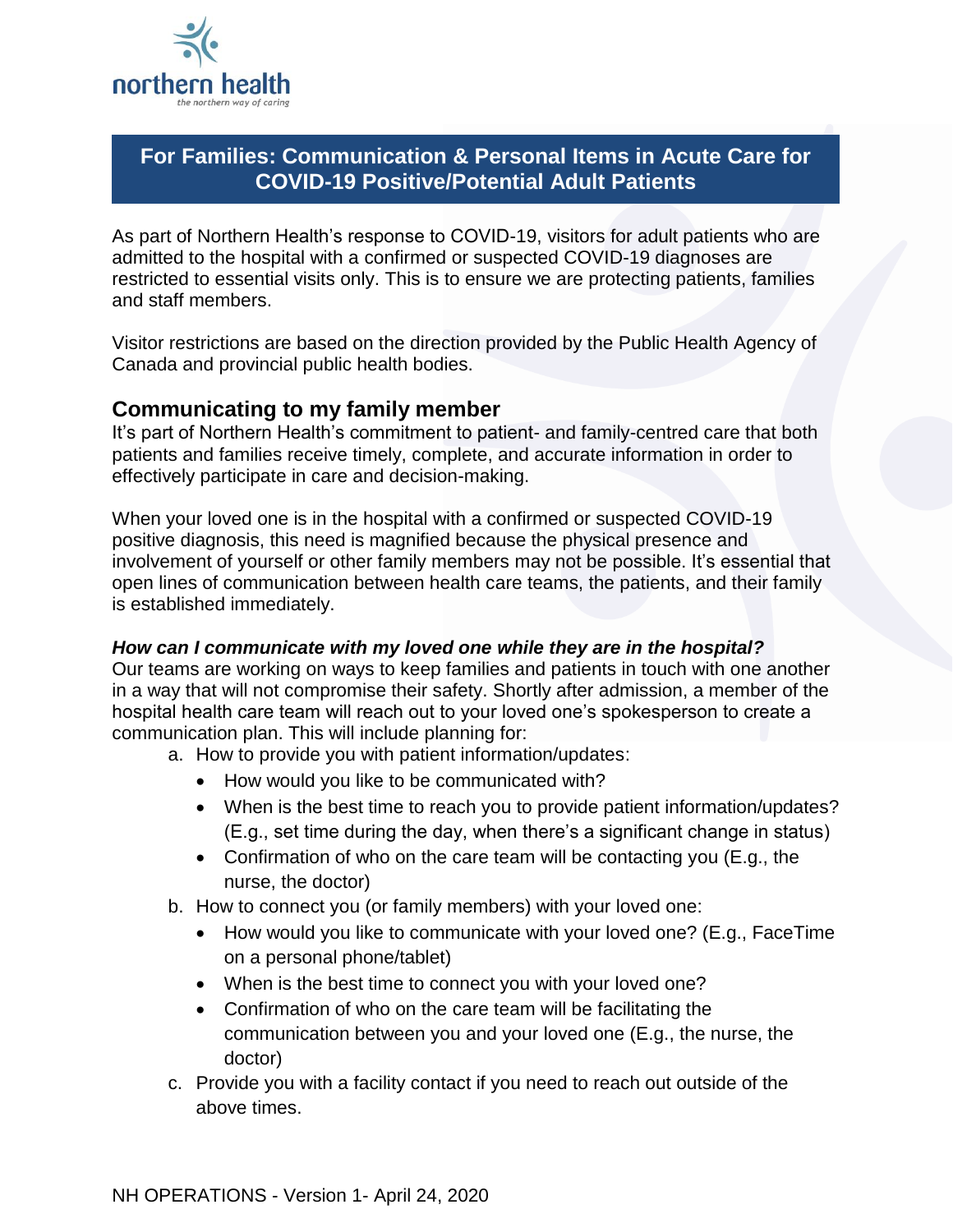

# **For Families: Communication & Personal Items in Acute Care for COVID-19 Positive/Potential Adult Patients**

As part of Northern Health's response to COVID-19, visitors for adult patients who are admitted to the hospital with a confirmed or suspected COVID-19 diagnoses are restricted to essential visits only. This is to ensure we are protecting patients, families and staff members.

Visitor restrictions are based on the direction provided by the Public Health Agency of Canada and provincial public health bodies.

### **Communicating to my family member**

It's part of Northern Health's commitment to patient- and family-centred care that both patients and families receive timely, complete, and accurate information in order to effectively participate in care and decision-making.

When your loved one is in the hospital with a confirmed or suspected COVID-19 positive diagnosis, this need is magnified because the physical presence and involvement of yourself or other family members may not be possible. It's essential that open lines of communication between health care teams, the patients, and their family is established immediately.

#### *How can I communicate with my loved one while they are in the hospital?*

Our teams are working on ways to keep families and patients in touch with one another in a way that will not compromise their safety. Shortly after admission, a member of the hospital health care team will reach out to your loved one's spokesperson to create a communication plan. This will include planning for:

- a. How to provide you with patient information/updates:
	- How would you like to be communicated with?
	- When is the best time to reach you to provide patient information/updates? (E.g., set time during the day, when there's a significant change in status)
	- Confirmation of who on the care team will be contacting you (E.g., the nurse, the doctor)
- b. How to connect you (or family members) with your loved one:
	- How would you like to communicate with your loved one? (E.g., FaceTime on a personal phone/tablet)
	- When is the best time to connect you with your loved one?
	- Confirmation of who on the care team will be facilitating the communication between you and your loved one (E.g., the nurse, the doctor)
- c. Provide you with a facility contact if you need to reach out outside of the above times.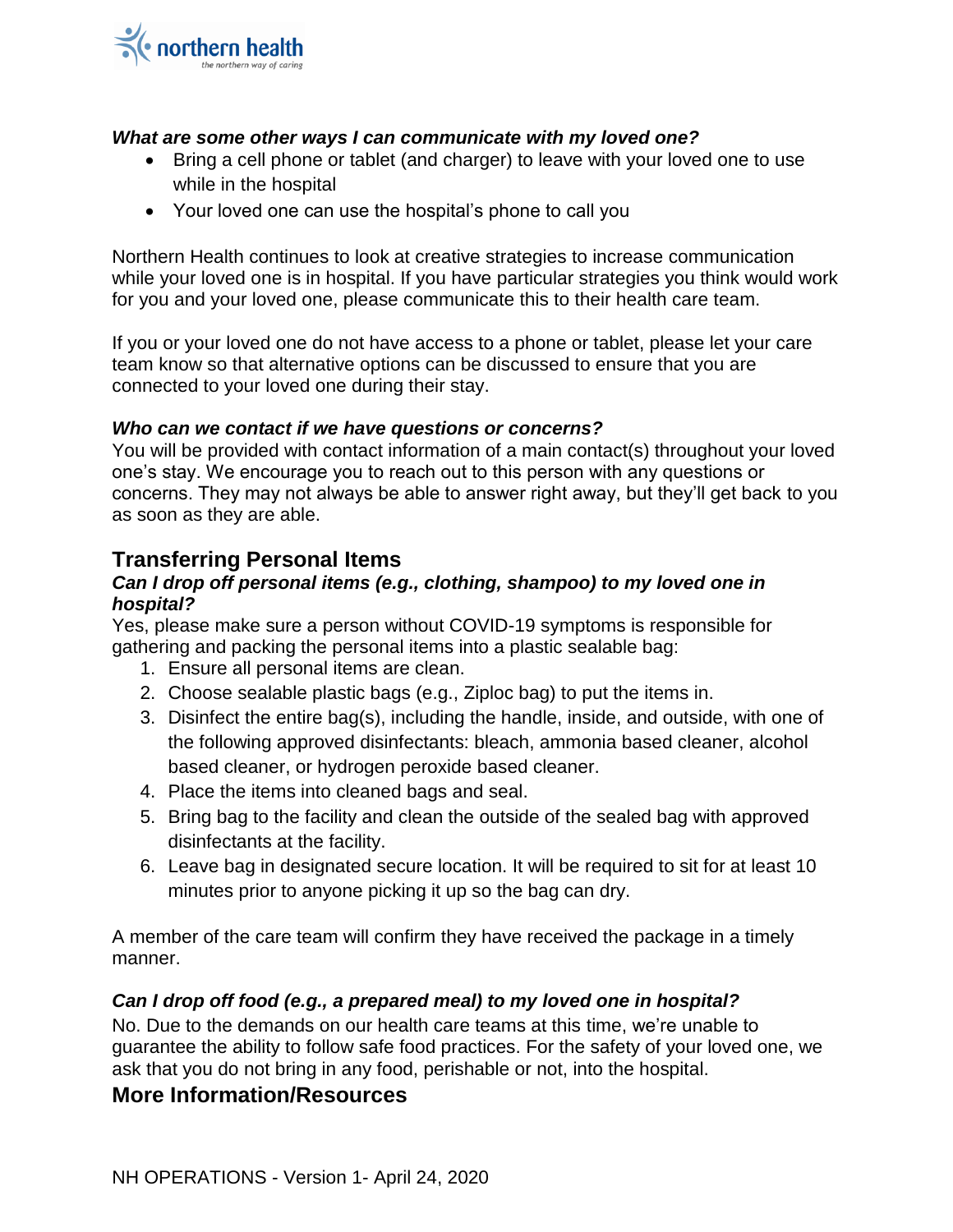

#### *What are some other ways I can communicate with my loved one?*

- Bring a cell phone or tablet (and charger) to leave with your loved one to use while in the hospital
- Your loved one can use the hospital's phone to call you

Northern Health continues to look at creative strategies to increase communication while your loved one is in hospital. If you have particular strategies you think would work for you and your loved one, please communicate this to their health care team.

If you or your loved one do not have access to a phone or tablet, please let your care team know so that alternative options can be discussed to ensure that you are connected to your loved one during their stay.

#### *Who can we contact if we have questions or concerns?*

You will be provided with contact information of a main contact(s) throughout your loved one's stay. We encourage you to reach out to this person with any questions or concerns. They may not always be able to answer right away, but they'll get back to you as soon as they are able.

# **Transferring Personal Items**

#### *Can I drop off personal items (e.g., clothing, shampoo) to my loved one in hospital?*

Yes, please make sure a person without COVID-19 symptoms is responsible for gathering and packing the personal items into a plastic sealable bag:

- 1. Ensure all personal items are clean.
- 2. Choose sealable plastic bags (e.g., Ziploc bag) to put the items in.
- 3. Disinfect the entire bag(s), including the handle, inside, and outside, with one of the following approved disinfectants: bleach, ammonia based cleaner, alcohol based cleaner, or hydrogen peroxide based cleaner.
- 4. Place the items into cleaned bags and seal.
- 5. Bring bag to the facility and clean the outside of the sealed bag with approved disinfectants at the facility.
- 6. Leave bag in designated secure location. It will be required to sit for at least 10 minutes prior to anyone picking it up so the bag can dry.

A member of the care team will confirm they have received the package in a timely manner.

#### *Can I drop off food (e.g., a prepared meal) to my loved one in hospital?*

No. Due to the demands on our health care teams at this time, we're unable to guarantee the ability to follow safe food practices. For the safety of your loved one, we ask that you do not bring in any food, perishable or not, into the hospital.

### **More Information/Resources**